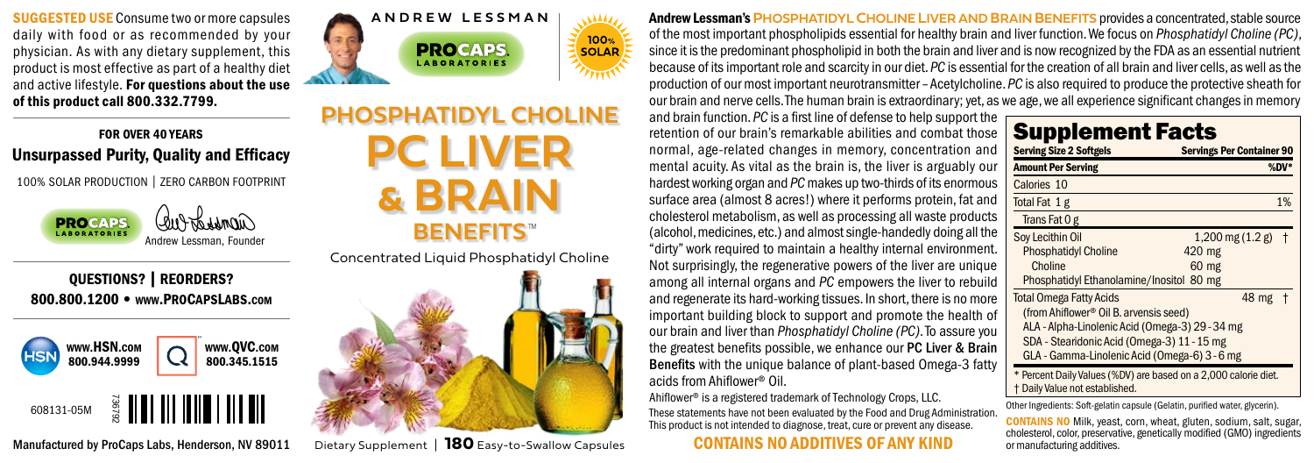SUGGESTED USE Consume two or more capsules daily with food or as recommended by your physician. As with any dietary supplement, this product is most effective as part of a healthy diet and active lifestyle. For questions about the use of this product call 800.332.7799.

## FOR OVER 40 YEARS Unsurpassed Purity, Quality and Efficacy

100% SOLAR PRODUCTION | ZERO CARBON FOOTPRINT



QUESTIONS? | REORDERS? 800.800.1200 • www.PROCAPSLABS.com





**PC LIVER & BRAIN PHOSPHAT BENEFITS**

Concentrated Liquid Phosphatidyl Choline



Andrew Lessman's**PHOSPHATIDYL CHOLINE LIVERAND BRAIN BENEFITS** provides a concentrated, stable source of the most important phospholipids essential for healthy brain and liver function. We focus on *Phosphatidyl Choline (PC)*, since it is the predominant phospholipid in both the brain and liver and is now recognized by the FDA as an essential nutrient because of its important role and scarcity in our diet. *PC* is essential for the creation of all brain and liver cells, as well as the production of our most important neurotransmitter – Acetylcholine. *PC* is also required to produce the protective sheath for our brain and nerve cells. The human brain is extraordinary; yet, as we age, we all experience significant changes in memory

and brain function. *PC* is a first line of defense to help support the retention of our brain's remarkable abilities and combat those normal, age-related changes in memory, concentration and mental acuity. As vital as the brain is, the liver is arguably our hardest working organ and *PC* makes up two-thirds of its enormous surface area (almost 8 acres!) where it performs protein, fat and cholesterol metabolism, as well as processing all waste products (alcohol, medicines, etc.) and almost single-handedly doing all the "dirty" work required to maintain a healthy internal environment. Not surprisingly, the regenerative powers of the liver are unique among all internal organs and *PC* empowers the liver to rebuild and regenerate its hard-working tissues. In short, there is no more important building block to support and promote the health of our brain and liver than *Phosphatidyl Choline (PC)*. To assure you the greatest benefits possible, we enhance our PC Liver & Brain Benefits with the unique balance of plant-based Omega-3 fatty acids from Ahiflower® Oil.

Ahiflower® is a registered trademark of Technology Crops, LLC. These statements have not been evaluated by the Food and Drug Administration. This product is not intended to diagnose, treat, cure or prevent any disease.

## CONTAINS NO ADDITIVES OF ANY KIND

| <b>Serving Size 2 Softgels</b><br><b>Amount Per Serving</b>                                                                                                                                                                 | <b>Servings Per Container 90</b><br>%DV                            |
|-----------------------------------------------------------------------------------------------------------------------------------------------------------------------------------------------------------------------------|--------------------------------------------------------------------|
| Calories 10                                                                                                                                                                                                                 |                                                                    |
| Total Fat 1 g                                                                                                                                                                                                               | 1%                                                                 |
| Trans Fat 0 g                                                                                                                                                                                                               |                                                                    |
| Soy Lecithin Oil<br><b>Phosphatidyl Choline</b><br>Choline<br>Phosphatidyl Ethanolamine/Inositol 80 mg                                                                                                                      | $1,200 \text{ mg} (1.2 \text{ g})$ †<br>420 mg<br>60 <sub>mg</sub> |
| <b>Total Omega Fatty Acids</b><br>(from Ahiflower® Oil B. arvensis seed)<br>ALA - Alpha-Linolenic Acid (Omega-3) 29 - 34 mg<br>SDA - Stearidonic Acid (Omega-3) 11 - 15 mg<br>GLA - Gamma-Linolenic Acid (Omega-6) 3 - 6 mg | 48 mg +                                                            |

Other Ingredients: Soft-gelatin capsule (Gelatin, purified water, glycerin).

CONTAINS NO Milk, yeast, corn, wheat, gluten, sodium, salt, sugar, cholesterol, color, preservative, genetically modified (GMO) ingredients or manufacturing additives.

Manufactured by ProCaps Labs, Henderson, NV 89011

Dietary Supplement | **180** Easy-to-Swallow Capsules